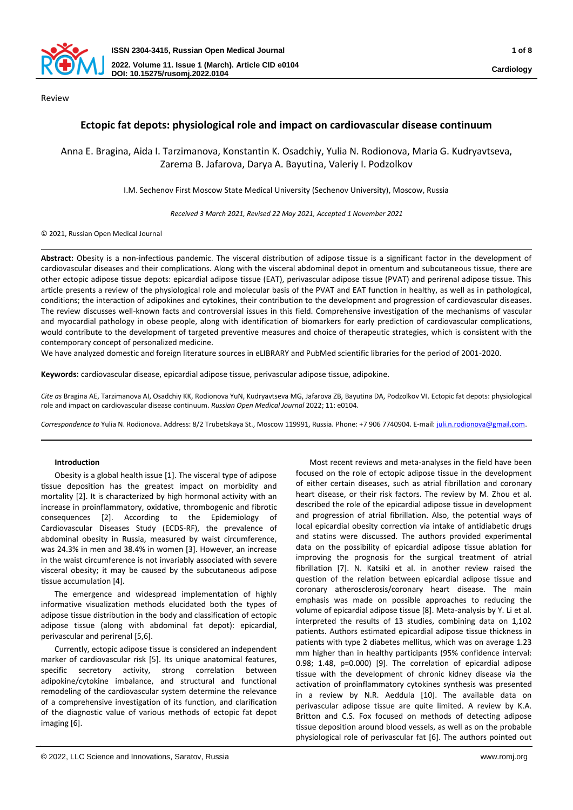

Review

# **Ectopic fat depots: physiological role and impact on cardiovascular disease continuum**

# Anna E. Bragina, Aida I. Tarzimanova, Konstantin K. Osadchiy, Yulia N. Rodionova, Maria G. Kudryavtseva, Zarema B. Jafarova, Darya А. Bayutina, Valeriy I. Podzolkov

I.M. Sechenov First Moscow State Medical University (Sechenov University), Moscow, Russia

*Received 3 March 2021, Revised 22 May 2021, Accepted 1 November 2021*

© 2021, Russian Open Medical Journal

Abstract: Obesity is a non-infectious pandemic. The visceral distribution of adipose tissue is a significant factor in the development of cardiovascular diseases and their complications. Along with the visceral abdominal depot in omentum and subcutaneous tissue, there are other ectopic adipose tissue depots: epicardial adipose tissue (EAT), perivascular adipose tissue (PVAT) and perirenal adipose tissue. This article presents a review of the physiological role and molecular basis of the PVAT and EAT function in healthy, as well as in pathological, conditions; the interaction of adipokines and cytokines, their contribution to the development and progression of cardiovascular diseases. The review discusses well-known facts and controversial issues in this field. Comprehensive investigation of the mechanisms of vascular and myocardial pathology in obese people, along with identification of biomarkers for early prediction of cardiovascular complications, would contribute to the development of targeted preventive measures and choice of therapeutic strategies, which is consistent with the contemporary concept of personalized medicine.

We have analyzed domestic and foreign literature sources in eLIBRARY and PubMed scientific libraries for the period of 2001-2020.

**Keywords:** cardiovascular disease, epicardial adipose tissue, perivascular adipose tissue, adipokine.

*Cite as* Bragina AE, Tarzimanova AI, Osadchiy KK, Rodionova YuN, Kudryavtseva MG, Jafarova ZB, Bayutina DА, Podzolkov VI. Ectopic fat depots: physiological role and impact on cardiovascular disease continuum. *Russian Open Medical Journal* 2022; 11: e0104.

*Correspondence to* Yulia N. Rodionova. Address: 8/2 Trubetskaya St., Moscow 119991, Russia. Phone: +7 906 7740904. E-mail[: juli.n.rodionova@gmail.com.](mailto:juli.n.rodionova@gmail.com) 

## **Introduction**

Obesity is a global health issue [1]. The visceral type of adipose tissue deposition has the greatest impact on morbidity and mortality [2]. It is characterized by high hormonal activity with an increase in proinflammatory, oxidative, thrombogenic and fibrotic consequences [2]. According to the Epidemiology of Cardiovascular Diseases Study (ECDS-RF), the prevalence of abdominal obesity in Russia, measured by waist circumference, was 24.3% in men and 38.4% in women [3]. However, an increase in the waist circumference is not invariably associated with severe visceral obesity; it may be caused by the subcutaneous adipose tissue accumulation [4].

The emergence and widespread implementation of highly informative visualization methods elucidated both the types of adipose tissue distribution in the body and classification of ectopic adipose tissue (along with abdominal fat depot): epicardial, perivascular and perirenal [5,6].

Currently, ectopic adipose tissue is considered an independent marker of cardiovascular risk [5]. Its unique anatomical features, specific secretory activity, strong correlation between adipokine/cytokine imbalance, and structural and functional remodeling of the cardiovascular system determine the relevance of a comprehensive investigation of its function, and clarification of the diagnostic value of various methods of ectopic fat depot imaging [6].

Most recent reviews and meta-analyses in the field have been focused on the role of ectopic adipose tissue in the development of either certain diseases, such as atrial fibrillation and coronary heart disease, or their risk factors. The review by M. Zhou et al. described the role of the epicardial adipose tissue in development and progression of atrial fibrillation. Also, the potential ways of local epicardial obesity correction via intake of antidiabetic drugs and statins were discussed. The authors provided experimental data on the possibility of epicardial adipose tissue ablation for improving the prognosis for the surgical treatment of atrial fibrillation [7]. N. Katsiki et al. in another review raised the question of the relation between epicardial adipose tissue and coronary atherosclerosis/coronary heart disease. The main emphasis was made on possible approaches to reducing the volume of epicardial adipose tissue [8]. Meta-analysis by Y. Li et al. interpreted the results of 13 studies, combining data on 1,102 patients. Authors estimated epicardial adipose tissue thickness in patients with type 2 diabetes mellitus, which was on average 1.23 mm higher than in healthy participants (95% confidence interval: 0.98; 1.48, p=0.000) [9]. The correlation of epicardial adipose tissue with the development of chronic kidney disease via the activation of proinflammatory cytokines synthesis was presented in a review by N.R. Aeddula [10]. The available data on perivascular adipose tissue are quite limited. A review by K.A. Britton and C.S. Fox focused on methods of detecting adipose tissue deposition around blood vessels, as well as on the probable physiological role of perivascular fat [6]. The authors pointed out

<sup>©</sup> 2022, LLC Science and Innovations, Saratov, Russia www.romj.org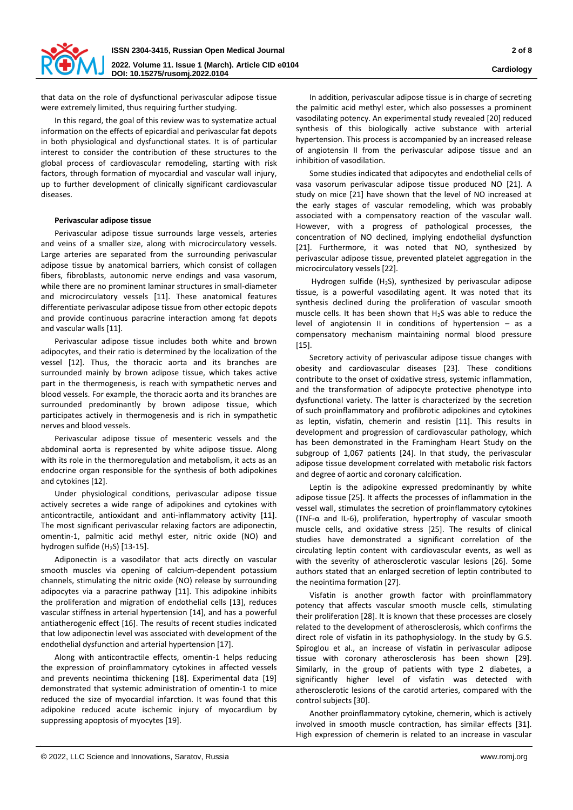

**Cardiology**

that data on the role of dysfunctional perivascular adipose tissue were extremely limited, thus requiring further studying.

In this regard, the goal of this review was to systematize actual information on the effects of epicardial and perivascular fat depots in both physiological and dysfunctional states. It is of particular interest to consider the contribution of these structures to the global process of cardiovascular remodeling, starting with risk factors, through formation of myocardial and vascular wall injury, up to further development of clinically significant cardiovascular diseases.

#### **Perivascular adipose tissue**

Perivascular adipose tissue surrounds large vessels, arteries and veins of a smaller size, along with microcirculatory vessels. Large arteries are separated from the surrounding perivascular adipose tissue by anatomical barriers, which consist of collagen fibers, fibroblasts, autonomic nerve endings and vasa vasorum, while there are no prominent laminar structures in small-diameter and microcirculatory vessels [11]. These anatomical features differentiate perivascular adipose tissue from other ectopic depots and provide continuous paracrine interaction among fat depots and vascular walls [11].

Perivascular adipose tissue includes both white and brown adipocytes, and their ratio is determined by the localization of the vessel [12]. Thus, the thoracic aorta and its branches are surrounded mainly by brown adipose tissue, which takes active part in the thermogenesis, is reach with sympathetic nerves and blood vessels. For example, the thoracic aorta and its branches are surrounded predominantly by brown adipose tissue, which participates actively in thermogenesis and is rich in sympathetic nerves and blood vessels.

Perivascular adipose tissue of mesenteric vessels and the abdominal aorta is represented by white adipose tissue. Along with its role in the thermoregulation and metabolism, it acts as an endocrine organ responsible for the synthesis of both adipokines and cytokines [12].

Under physiological conditions, perivascular adipose tissue actively secretes a wide range of adipokines and cytokines with anticontractile, antioxidant and anti-inflammatory activity [11]. The most significant perivascular relaxing factors are adiponectin, omentin-1, palmitic acid methyl ester, nitric oxide (NO) and hydrogen sulfide  $(H<sub>2</sub>S)$  [13-15].

Adiponectin is a vasodilator that acts directly on vascular smooth muscles via opening of calcium-dependent potassium channels, stimulating the nitric oxide (NO) release by surrounding adipocytes via a paracrine pathway [11]. This adipokine inhibits the proliferation and migration of endothelial cells [13], reduces vascular stiffness in arterial hypertension [14], and has a powerful antiatherogenic effect [16]. The results of recent studies indicated that low adiponectin level was associated with development of the endothelial dysfunction and arterial hypertension [17].

Along with anticontractile effects, omentin-1 helps reducing the expression of proinflammatory cytokines in affected vessels and prevents neointima thickening [18]. Experimental data [19] demonstrated that systemic administration of omentin-1 to mice reduced the size of myocardial infarction. It was found that this adipokine reduced acute ischemic injury of myocardium by suppressing apoptosis of myocytes [19].

In addition, perivascular adipose tissue is in charge of secreting the palmitic acid methyl ester, which also possesses a prominent vasodilating potency. An experimental study revealed [20] reduced synthesis of this biologically active substance with arterial hypertension. This process is accompanied by an increased release of angiotensin II from the perivascular adipose tissue and an inhibition of vasodilation.

Some studies indicated that adipocytes and endothelial cells of vasa vasorum perivascular adipose tissue produced NO [21]. A study on mice [21] have shown that the level of NO increased at the early stages of vascular remodeling, which was probably associated with a compensatory reaction of the vascular wall. However, with a progress of pathological processes, the concentration of NO declined, implying endothelial dysfunction [21]. Furthermore, it was noted that NO, synthesized by perivascular adipose tissue, prevented platelet aggregation in the microcirculatory vessels [22].

Hydrogen sulfide (H2S), synthesized by perivascular adipose tissue, is a powerful vasodilating agent. It was noted that its synthesis declined during the proliferation of vascular smooth muscle cells. It has been shown that H2S was able to reduce the level of angiotensin II in conditions of hypertension – as a compensatory mechanism maintaining normal blood pressure [15].

Secretory activity of perivascular adipose tissue changes with obesity and cardiovascular diseases [23]. These conditions contribute to the onset of oxidative stress, systemic inflammation, and the transformation of adipocyte protective phenotype into dysfunctional variety. The latter is characterized by the secretion of such proinflammatory and profibrotic adipokines and cytokines as leptin, visfatin, chemerin and resistin [11]. This results in development and progression of cardiovascular pathology, which has been demonstrated in the Framingham Heart Study on the subgroup of 1,067 patients [24]. In that study, the perivascular adipose tissue development correlated with metabolic risk factors and degree of aortic and coronary calcification.

Leptin is the adipokine expressed predominantly by white adipose tissue [25]. It affects the processes of inflammation in the vessel wall, stimulates the secretion of proinflammatory cytokines (TNF-α and IL-6), proliferation, hypertrophy of vascular smooth muscle cells, and oxidative stress [25]. The results of clinical studies have demonstrated a significant correlation of the circulating leptin content with cardiovascular events, as well as with the severity of atherosclerotic vascular lesions [26]. Some authors stated that an enlarged secretion of leptin contributed to the neointima formation [27].

Visfatin is another growth factor with proinflammatory potency that affects vascular smooth muscle cells, stimulating their proliferation [28]. It is known that these processes are closely related to the development of atherosclerosis, which confirms the direct role of visfatin in its pathophysiology. In the study by G.S. Spiroglou et al., an increase of visfatin in perivascular adipose tissue with coronary atherosclerosis has been shown [29]. Similarly, in the group of patients with type 2 diabetes, a significantly higher level of visfatin was detected with atherosclerotic lesions of the carotid arteries, compared with the control subjects [30].

Another proinflammatory cytokine, chemerin, which is actively involved in smooth muscle contraction, has similar effects [31]. High expression of chemerin is related to an increase in vascular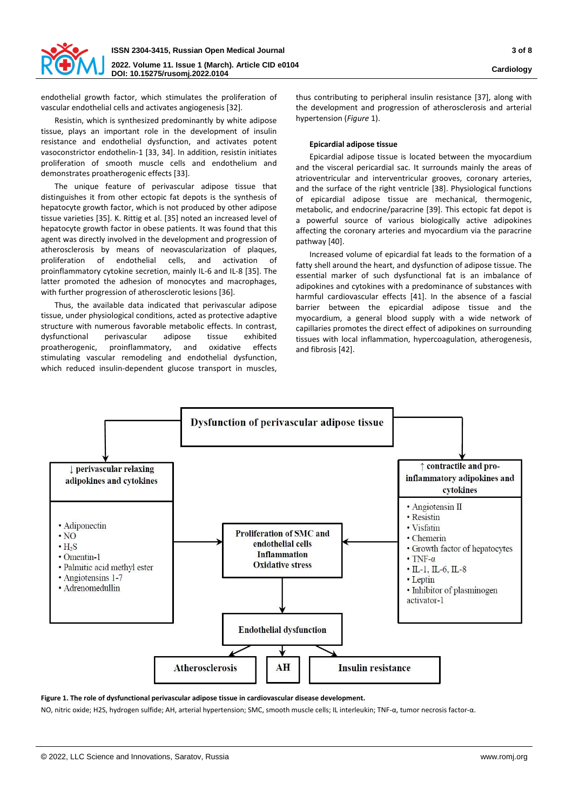

endothelial growth factor, which stimulates the proliferation of vascular endothelial cells and activates angiogenesis [32].

Resistin, which is synthesized predominantly by white adipose tissue, plays an important role in the development of insulin resistance and endothelial dysfunction, and activates potent vasoconstrictor endothelin-1 [33, 34]. In addition, resistin initiates proliferation of smooth muscle cells and endothelium and demonstrates proatherogenic effects [33].

The unique feature of perivascular adipose tissue that distinguishes it from other ectopic fat depots is the synthesis of hepatocyte growth factor, which is not produced by other adipose tissue varieties [35]. K. Rittig et al. [35] noted an increased level of hepatocyte growth factor in obese patients. It was found that this agent was directly involved in the development and progression of atherosclerosis by means of neovascularization of plaques, proliferation of endothelial cells, and activation of proinflammatory cytokine secretion, mainly IL-6 and IL-8 [35]. The latter promoted the adhesion of monocytes and macrophages, with further progression of atherosclerotic lesions [36].

Thus, the available data indicated that perivascular adipose tissue, under physiological conditions, acted as protective adaptive structure with numerous favorable metabolic effects. In contrast, dysfunctional perivascular adipose tissue exhibited proatherogenic, proinflammatory, and oxidative effects stimulating vascular remodeling and endothelial dysfunction, which reduced insulin-dependent glucose transport in muscles,

thus contributing to peripheral insulin resistance [37], along with the development and progression of atherosclerosis and arterial hypertension (*Figure* 1).

## **Epicardial adipose tissue**

Epicardial adipose tissue is located between the myocardium and the visceral pericardial sac. It surrounds mainly the areas of atrioventricular and interventricular grooves, coronary arteries, and the surface of the right ventricle [38]. Physiological functions of epicardial adipose tissue are mechanical, thermogenic, metabolic, and endocrine/paracrine [39]. This ectopic fat depot is a powerful source of various biologically active adipokines affecting the coronary arteries and myocardium via the paracrine pathway [40].

Increased volume of epicardial fat leads to the formation of a fatty shell around the heart, and dysfunction of adipose tissue. The essential marker of such dysfunctional fat is an imbalance of adipokines and cytokines with a predominance of substances with harmful cardiovascular effects [41]. In the absence of a fascial barrier between the epicardial adipose tissue and the myocardium, a general blood supply with a wide network of capillaries promotes the direct effect of adipokines on surrounding tissues with local inflammation, hypercoagulation, atherogenesis, and fibrosis [42].



**Figure 1. The role of dysfunctional perivascular adipose tissue in cardiovascular disease development.**

NO, nitric oxide; H2S, hydrogen sulfide; AH, arterial hypertension; SMC, smooth muscle cells; IL interleukin; TNF-α, tumor necrosis factor-α.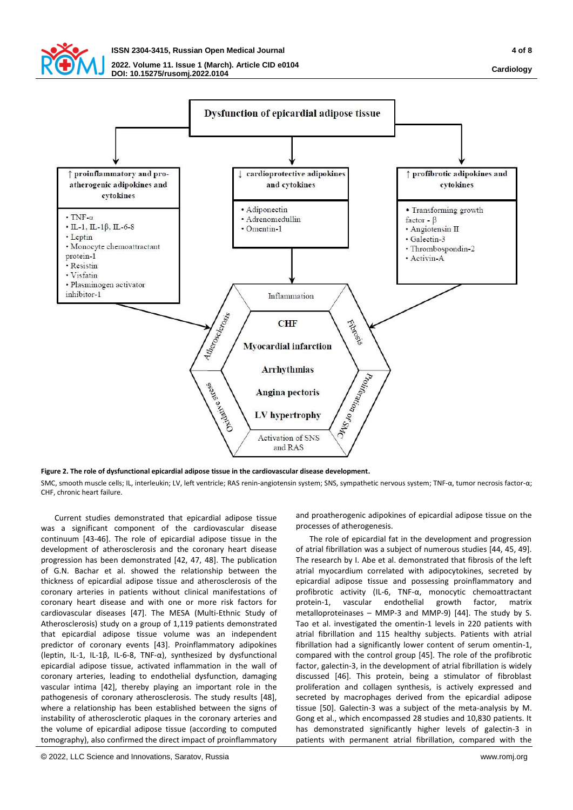

 $\cdot$  TNF- $\alpha$ 

· Leptin

protein-1

· Resistin · Visfatin

inhibitor-1

**SOUT** 

**Santagono** 

**DOI: 10.15275/rusomj.2022.0104**



o uomaninos

Mission

**Figure 2. The role of dysfunctional epicardial adipose tissue in the cardiovascular disease development.** SMC, smooth muscle cells; IL, interleukin; LV, left ventricle; RAS renin-angiotensin system; SNS, sympathetic nervous system; TNF-α, tumor necrosis factor-α; CHE, chronic heart failure.

**Arrhythmias** 

**Angina pectoris** 

LV hypertrophy

Activation of SNS and RAS

Current studies demonstrated that epicardial adipose tissue was a significant component of the cardiovascular disease continuum [43-46]. The role of epicardial adipose tissue in the development of atherosclerosis and the coronary heart disease progression has been demonstrated [42, 47, 48]. The publication of G.N. Bachar et al. showed the relationship between the thickness of epicardial adipose tissue and atherosclerosis of the coronary arteries in patients without clinical manifestations of coronary heart disease and with one or more risk factors for cardiovascular diseases [47]. The MESA (Multi-Ethnic Study of Atherosclerosis) study on a group of 1,119 patients demonstrated that epicardial adipose tissue volume was an independent predictor of coronary events [43]. Proinflammatory adipokines (leptin, IL-1, IL-1β, IL-6-8, TNF-α), synthesized by dysfunctional epicardial adipose tissue, activated inflammation in the wall of coronary arteries, leading to endothelial dysfunction, damaging vascular intima [42], thereby playing an important role in the pathogenesis of coronary atherosclerosis. The study results [48], where a relationship has been established between the signs of instability of atherosclerotic plaques in the coronary arteries and the volume of epicardial adipose tissue (according to computed tomography), also confirmed the direct impact of proinflammatory

and proatherogenic adipokines of epicardial adipose tissue on the processes of atherogenesis.

The role of epicardial fat in the development and progression of atrial fibrillation was a subject of numerous studies [44, 45, 49]. The research by I. Abe et al. demonstrated that fibrosis of the left atrial myocardium correlated with adipocytokines, secreted by epicardial adipose tissue and possessing proinflammatory and profibrotic activity (IL-6, TNF-α, monocytic chemoattractant protein-1, vascular endothelial growth factor, matrix metalloproteinases – MMP-3 and MMP-9) [44]. The study by S. Tao et al. investigated the omentin-1 levels in 220 patients with atrial fibrillation and 115 healthy subjects. Patients with atrial fibrillation had a significantly lower content of serum omentin-1, compared with the control group [45]. The role of the profibrotic factor, galectin-3, in the development of atrial fibrillation is widely discussed [46]. This protein, being a stimulator of fibroblast proliferation and collagen synthesis, is actively expressed and secreted by macrophages derived from the epicardial adipose tissue [50]. Galectin-3 was a subject of the meta-analysis by M. Gong et al., which encompassed 28 studies and 10,830 patients. It has demonstrated significantly higher levels of galectin-3 in patients with permanent atrial fibrillation, compared with the

**Cardiology**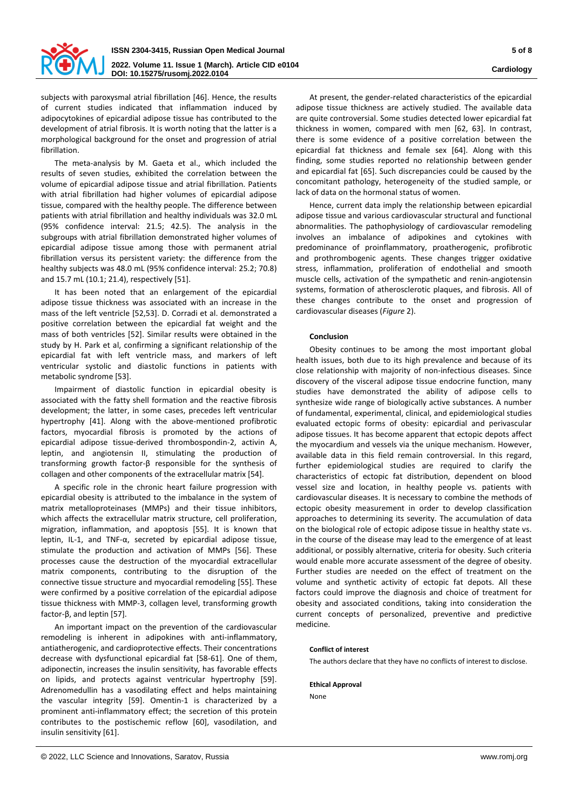

subjects with paroxysmal atrial fibrillation [46]. Hence, the results of current studies indicated that inflammation induced by adipocytokines of epicardial adipose tissue has contributed to the development of atrial fibrosis. It is worth noting that the latter is a morphological background for the onset and progression of atrial fibrillation.

The meta-analysis by M. Gaeta et al., which included the results of seven studies, exhibited the correlation between the volume of epicardial adipose tissue and atrial fibrillation. Patients with atrial fibrillation had higher volumes of epicardial adipose tissue, compared with the healthy people. The difference between patients with atrial fibrillation and healthy individuals was 32.0 mL (95% confidence interval: 21.5; 42.5). The analysis in the subgroups with atrial fibrillation demonstrated higher volumes of epicardial adipose tissue among those with permanent atrial fibrillation versus its persistent variety: the difference from the healthy subjects was 48.0 mL (95% confidence interval: 25.2; 70.8) and 15.7 mL (10.1; 21.4), respectively [51].

It has been noted that an enlargement of the epicardial adipose tissue thickness was associated with an increase in the mass of the left ventricle [52,53]. D. Corradi et al. demonstrated a positive correlation between the epicardial fat weight and the mass of both ventricles [52]. Similar results were obtained in the study by H. Park et al, confirming a significant relationship of the epicardial fat with left ventricle mass, and markers of left ventricular systolic and diastolic functions in patients with metabolic syndrome [53].

Impairment of diastolic function in epicardial obesity is associated with the fatty shell formation and the reactive fibrosis development; the latter, in some cases, precedes left ventricular hypertrophy [41]. Along with the above-mentioned profibrotic factors, myocardial fibrosis is promoted by the actions of epicardial adipose tissue-derived thrombospondin-2, activin A, leptin, and angiotensin II, stimulating the production of transforming growth factor-β responsible for the synthesis of collagen and other components of the extracellular matrix [54].

A specific role in the chronic heart failure progression with epicardial obesity is attributed to the imbalance in the system of matrix metalloproteinases (MMPs) and their tissue inhibitors, which affects the extracellular matrix structure, cell proliferation, migration, inflammation, and apoptosis [55]. It is known that leptin, IL-1, and TNF-α, secreted by epicardial adipose tissue, stimulate the production and activation of MMPs [56]. These processes cause the destruction of the myocardial extracellular matrix components, contributing to the disruption of the connective tissue structure and myocardial remodeling [55]. These were confirmed by a positive correlation of the epicardial adipose tissue thickness with MMP-3, collagen level, transforming growth factor-β, and leptin [57].

An important impact on the prevention of the cardiovascular remodeling is inherent in adipokines with anti-inflammatory, antiatherogenic, and cardioprotective effects. Their concentrations decrease with dysfunctional epicardial fat [58-61]. One of them, adiponectin, increases the insulin sensitivity, has favorable effects on lipids, and protects against ventricular hypertrophy [59]. Adrenomedullin has a vasodilating effect and helps maintaining the vascular integrity [59]. Omentin-1 is characterized by a prominent anti-inflammatory effect; the secretion of this protein contributes to the postischemic reflow [60], vasodilation, and insulin sensitivity [61].

At present, the gender-related characteristics of the epicardial adipose tissue thickness are actively studied. The available data are quite controversial. Some studies detected lower epicardial fat thickness in women, compared with men [62, 63]. In contrast, there is some evidence of a positive correlation between the epicardial fat thickness and female sex [64]. Along with this finding, some studies reported no relationship between gender and epicardial fat [65]. Such discrepancies could be caused by the concomitant pathology, heterogeneity of the studied sample, or lack of data on the hormonal status of women.

Hence, current data imply the relationship between epicardial adipose tissue and various cardiovascular structural and functional abnormalities. The pathophysiology of cardiovascular remodeling involves an imbalance of adipokines and cytokines with predominance of proinflammatory, proatherogenic, profibrotic and prothrombogenic agents. These changes trigger oxidative stress, inflammation, proliferation of endothelial and smooth muscle cells, activation of the sympathetic and renin-angiotensin systems, formation of atherosclerotic plaques, and fibrosis. All of these changes contribute to the onset and progression of cardiovascular diseases (*Figure* 2).

# **Conclusion**

Obesity continues to be among the most important global health issues, both due to its high prevalence and because of its close relationship with majority of non-infectious diseases. Since discovery of the visceral adipose tissue endocrine function, many studies have demonstrated the ability of adipose cells to synthesize wide range of biologically active substances. A number of fundamental, experimental, clinical, and epidemiological studies evaluated ectopic forms of obesity: epicardial and perivascular adipose tissues. It has become apparent that ectopic depots affect the myocardium and vessels via the unique mechanism. However, available data in this field remain controversial. In this regard, further epidemiological studies are required to clarify the characteristics of ectopic fat distribution, dependent on blood vessel size and location, in healthy people vs. patients with cardiovascular diseases. It is necessary to combine the methods of ectopic obesity measurement in order to develop classification approaches to determining its severity. The accumulation of data on the biological role of ectopic adipose tissue in healthy state vs. in the course of the disease may lead to the emergence of at least additional, or possibly alternative, criteria for obesity. Such criteria would enable more accurate assessment of the degree of obesity. Further studies are needed on the effect of treatment on the volume and synthetic activity of ectopic fat depots. All these factors could improve the diagnosis and choice of treatment for obesity and associated conditions, taking into consideration the current concepts of personalized, preventive and predictive medicine.

#### **Conflict of interest**

The authors declare that they have no conflicts of interest to disclose.

**Ethical Approval** None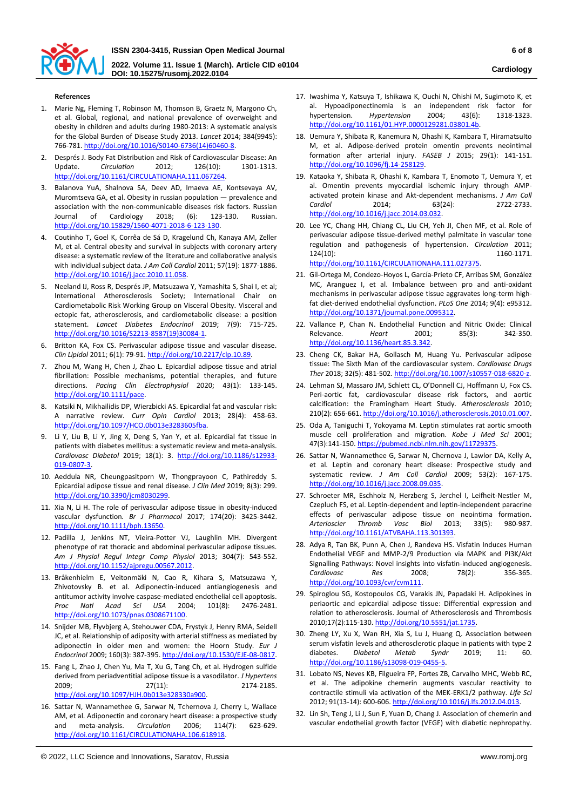

**DOI: 10.15275/rusomj.2022.0104**

### **References**

- 1. Marie Ng, Fleming T, Robinson M, Thomson B, Graetz N, Margono Ch, et al. Global, regional, and national prevalence of overweight and obesity in children and adults during 1980-2013: A systematic analysis for the Global Burden of Disease Study 2013. *Lancet* 2014; 384(9945): 766-781[. http://doi.org/10.1016/S0140-6736\(14\)60460-8.](http://doi.org/10.1016/S0140-6736(14)60460-8)
- 2. Després J. Body Fat Distribution and Risk of Cardiovascular Disease: An Update. *Circulation* 2012; 126(10): 1301-1313. [http://doi.org/10.1161/CIRCULATIONAHA.111.067264.](http://doi.org/10.1161/CIRCULATIONAHA.111.067264)
- 3. Balanova YuA, Shalnova SA, Deev AD, Imaeva AE, Kontsevaya AV, Muromtseva GA, et al. Obesity in russian population — prevalence and association with the non-communicable diseases risk factors. Russian Journal of Cardiology 2018; (6): 123-130. Russian. [http://doi.org/10.15829/1560-4071-2018-6-123-130.](http://doi.org/10.15829/1560-4071-2018-6-123-130)
- 4. Coutinho T, Goel K, Corrêa de Sá D, Kragelund Ch, Kanaya AM, Zeller M, et al. Central obesity and survival in subjects with coronary artery disease: a systematic review of the literature and collaborative analysis with individual subject data. *J Am Coll Cardiol* 2011; 57(19): 1877-1886. [http://doi.org/10.1016/j.jacc.2010.11.058.](http://doi.org/10.1016/j.jacc.2010.11.058)
- 5. Neeland IJ, Ross R, Després JP, Matsuzawa Y, Yamashita S, Shai I, et al; International Atherosclerosis Society; International Chair on Cardiometabolic Risk Working Group on Visceral Obesity. Visceral and ectopic fat, atherosclerosis, and cardiometabolic disease: a position statement. *Lancet Diabetes Endocrinol* 2019; 7(9): 715-725. [http://doi.org/10.1016/S2213-8587\(19\)30084-1.](http://doi.org/10.1016/S2213-8587(19)30084-1)
- 6. Britton KA, Fox CS. Perivascular adipose tissue and vascular disease. *Clin Lipidol* 2011; 6(1): 79-91[. http://doi.org/10.2217/clp.10.89.](http://doi.org/10.2217/clp.10.89)
- 7. Zhou M, Wang H, Chen J, Zhao L. Epicardial adipose tissue and atrial fibrillation: Possible mechanisms, potential therapies, and future directions. *Pacing Clin Electrophysiol* 2020; 43(1): 133-145. [http://doi.org/10.1111/pace.](http://doi.org/10.1111/pace)
- 8. Katsiki N, Mikhailidis DP, Wierzbicki AS. Epicardial fat and vascular risk: A narrative review. *Curr Opin Cardiol* 2013; 28(4): 458-63. [http://doi.org/10.1097/HCO.0b013e3283605fba.](http://doi.org/10.1097/HCO.0b013e3283605fba)
- 9. Li Y, Liu B, Li Y, Jing X, Deng S, Yan Y, et al. Epicardial fat tissue in patients with diabetes mellitus: a systematic review and meta-analysis. *Cardiovasc Diabetol* 2019; 18(1): 3. [http://doi.org/10.1186/s12933-](http://doi.org/10.1186/s12933-019-0807-3) [019-0807-3.](http://doi.org/10.1186/s12933-019-0807-3)
- 10. Aeddula NR, Cheungpasitporn W, Thongprayoon C, Pathireddy S. Epicardial adipose tissue and renal disease. *J Clin Med* 2019; 8(3): 299. [http://doi.org/10.3390/jcm8030299.](http://doi.org/10.3390/jcm8030299)
- 11. Xia N, Li H. The role of perivascular adipose tissue in obesity-induced vascular dysfunction*. Br J Pharmacol* 2017; 174(20): 3425-3442. [http://doi.org/10.1111/bph.13650.](http://doi.org/10.1111/bph.13650)
- 12. Padilla J, Jenkins NT, Vieira‐Potter VJ, Laughlin MH. Divergent phenotype of rat thoracic and abdominal perivascular adipose tissues. *Am J Physiol Regul Integr Comp Physiol* 2013; 304(7): 543-552. [http://doi.org/10.1152/ajpregu.00567.2012.](http://doi.org/10.1152/ajpregu.00567.2012)
- 13. Bråkenhielm E, Veitonmäki N, Cao R, Kihara S, Matsuzawa Y, Zhivotovsky B. et al. Adiponectin-induced antiangiogenesis and antitumor activity involve caspase-mediated endothelial cell apoptosis.<br>Proc Natl Acad Sci USA 2004: 101(8): 2476-2481. *Proc Natl Acad Sci USA* 2004; 101(8): 2476-2481. [http://doi.org/10.1073/pnas.0308671100.](http://doi.org/10.1073/pnas.0308671100)
- 14. Snijder MB, Flyvbjerg A, Stehouwer CDA, Frystyk J, Henry RMA, Seidell JC, et al. Relationship of adiposity with arterial stiffness as mediated by adiponectin in older men and women: the Hoorn Study. *Eur J Endocrinol* 2009; 160(3): 387-395[. http://doi.org/10.1530/EJE-08-0817.](http://doi.org/10.1530/EJE-08-0817)
- 15. Fang L, Zhao J, Chen Yu, Ma T, Xu G, Tang Ch, et al. Hydrogen sulfide derived from periadventitial adipose tissue is a vasodilator. *J Hypertens* 2009; 27(11): 2174-2185. [http://doi.org/10.1097/HJH.0b013e328330a900.](http://doi.org/10.1097/HJH.0b013e328330a900)
- 16. Sattar N, Wannamethee G, Sarwar N, Tchernova J, Cherry L, Wallace AM, et al. Adiponectin and coronary heart disease: a prospective study and meta-analysis. *Circulation* 2006; 114(7): 623-629. [http://doi.org/10.1161/CIRCULATIONAHA.106.618918.](http://doi.org/10.1161/CIRCULATIONAHA.106.618918)
- © 2022, LLC Science and Innovations, Saratov, Russia www.romj.org
- 17. Iwashima Y, Katsuya T, Ishikawa K, Ouchi N, Ohishi M, Sugimoto K, et al. Hypoadiponectinemia is an independent risk factor for hypertension. *Hypertension* 2004; 43(6): 1318-1323. [http://doi.org/10.1161/01.HYP.0000129281.03801.4b.](http://doi.org/10.1161/01.HYP.0000129281.03801.4b)
- 18. Uemura Y, Shibata R, Kanemura N, Ohashi K, Kambara T, HiramatsuIto M, et al. Adipose-derived protein omentin prevents neointimal formation after arterial injury. *FASEB J* 2015; 29(1): 141-151. [http://doi.org/10.1096/fj.14-258129.](http://doi.org/10.1096/fj.14-258129)
- 19. Kataoka Y, Shibata R, Ohashi K, Kambara T, Enomoto T, Uemura Y, et al. Omentin prevents myocardial ischemic injury through AMPactivated protein kinase and Akt-dependent mechanisms. *J Am Coll Cardiol* 2014; 63(24): 2722-2733. [http://doi.org/10.1016/j.jacc.2014.03.032.](http://doi.org/10.1016/j.jacc.2014.03.032)
- 20. Lee YC, Chang HH, Chiang CL, Liu CH, Yeh JI, Chen MF, et al. Role of perivascular adipose tissue‐derived methyl palmitate in vascular tone regulation and pathogenesis of hypertension. *Circulation* 2011; 124(10): 1160-1171. [http://doi.org/10.1161/CIRCULATIONAHA.111.027375.](http://doi.org/10.1161/CIRCULATIONAHA.111.027375)
- 21. Gil-Ortega M, Condezo-Hoyos L, García-Prieto CF, Arribas SM, González MC, Aranguez I, et al. Imbalance between pro and anti-oxidant mechanisms in perivascular adipose tissue aggravates long-term highfat diet-derived endothelial dysfunction. *PLoS One* 2014; 9(4): e95312. [http://doi.org/10.1371/journal.pone.0095312.](http://doi.org/10.1371/journal.pone.0095312)
- 22. Vallance P, Chan N. Endothelial Function and Nitric Oxide: Clinical Relevance. *Heart* 2001; 85(3): 342-350. [http://doi.org/10.1136/heart.85.3.342.](http://doi.org/10.1136/heart.85.3.342)
- 23. Cheng CK, Bakar HA, Gollasch M, Huang Yu. Perivascular adipose tissue: The Sixth Man of the cardiovascular system. *Cardiovasc Drugs Ther* 2018; 32(5): 481-502[. http://doi.org/10.1007/s10557-018-6820-z.](http://doi.org/10.1007/s10557-018-6820-z)
- 24. Lehman SJ, Massaro JM, Schlett CL, O'Donnell CJ, Hoffmann U, Fox CS. Peri-aortic fat, cardiovascular disease risk factors, and aortic calcification: the Framingham Heart Study. *Atherosclerosis* 2010; 210(2): 656-661[. http://doi.org/10.1016/j.atherosclerosis.2010.01.007.](http://doi.org/10.1016/j.atherosclerosis.2010.01.007)
- 25. Oda A, Taniguchi T, Yokoyama M. Leptin stimulates rat aortic smooth muscle cell proliferation and migration. *Kobe J Med Sci* 2001; 47(3):141-150[. https://pubmed.ncbi.nlm.nih.gov/11729375.](https://pubmed.ncbi.nlm.nih.gov/11729375)
- 26. Sattar N, Wannamethee G, Sarwar N, Chernova J, Lawlor DA, Kelly A, et al. Leptin and coronary heart disease: Prospective study and systematic review. *J Am Coll Cardiol* 2009; 53(2): 167-175. [http://doi.org/10.1016/j.jacc.2008.09.035.](http://doi.org/10.1016/j.jacc.2008.09.035)
- 27. Schroeter MR, Eschholz N, Herzberg S, Jerchel I, Leifheit-Nestler M, Czepluch FS, et al. Leptin-dependent and leptin-independent paracrine effects of perivascular adipose tissue on neointima formation. *Arterioscler Thromb Vasc Biol* 2013; 33(5): 980-987. [http://doi.org/10.1161/ATVBAHA.113.301393.](http://doi.org/10.1161/ATVBAHA.113.301393)
- 28. Adya R, Tan BK, Punn A, Chen J, Randeva HS. Visfatin Induces Human Endothelial VEGF and MMP-2/9 Production via MAPK and PI3K/Akt Signalling Pathways: Novel insights into visfatin-induced angiogenesis. *Cardiovasc Res* 2008; 78(2): 356-365. [http://doi.org/10.1093/cvr/cvm111.](http://doi.org/10.1093/cvr/cvm111)
- 29. Spiroglou SG, Kostopoulos CG, Varakis JN, Papadaki H. Adipokines in periaortic and epicardial adipose tissue: Differential expression and relation to atherosclerosis. Journal of Atherosclerosis and Thrombosis 2010;17(2):115-130[. http://doi.org/10.5551/jat.1735.](http://doi.org/10.5551/jat.1735)
- 30. Zheng LY, Xu X, Wan RH, Xia S, Lu J, Huang Q. Association between serum visfatin levels and atherosclerotic plaque in patients with type 2 diabetes. *Diabetol Metab Syndr* 2019; 11: 60. [http://doi.org/10.1186/s13098-019-0455-5.](http://doi.org/10.1186/s13098-019-0455-5)
- 31. Lobato NS, Neves KB, Filgueira FP, Fortes ZB, Carvalho MHC, Webb RC, et al. The adipokine chemerin augments vascular reactivity to contractile stimuli via activation of the MEK-ERK1/2 pathway. *Life Sci* 2012; 91(13-14): 600-606[. http://doi.org/10.1016/j.lfs.2012.04.013.](http://doi.org/10.1016/j.lfs.2012.04.013)
- 32. Lin Sh, Teng J, Li J, Sun F, Yuan D, Chang J. Association of chemerin and vascular endothelial growth factor (VEGF) with diabetic nephropathy.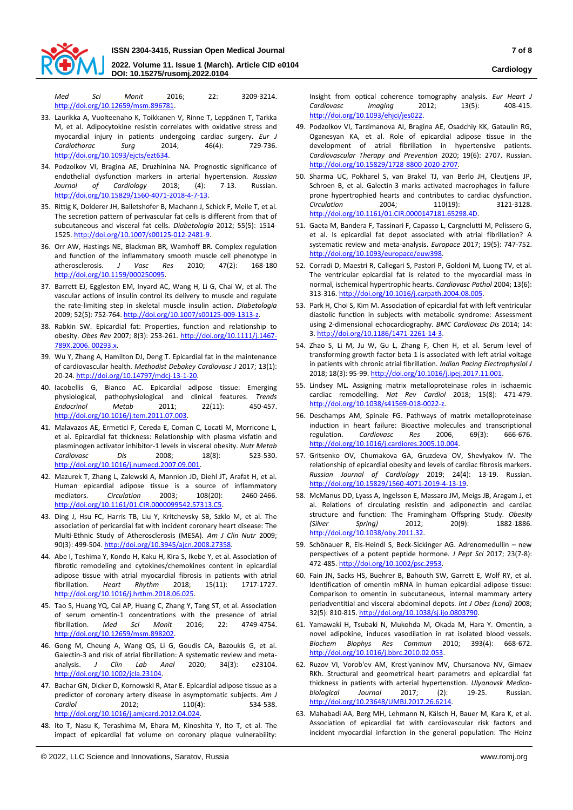

**DOI: 10.15275/rusomj.2022.0104**

*Med Sci Monit* 2016; 22: 3209-3214. [http://doi.org/10.12659/msm.896781.](http://doi.org/10.12659/msm.896781) 

- 33. Laurikka A, Vuolteenaho K, Toikkanen V, Rinne T, Leppänen T, Tarkka M, et al. Adipocytokine resistin correlates with oxidative stress and myocardial injury in patients undergoing cardiac surgery. *Eur J Cardiothorac Surg* 2014; 46(4): 729-736. [http://doi.org/10.1093/ejcts/ezt634.](http://doi.org/10.1093/ejcts/ezt634)
- 34. Podzolkov VI, Bragina AE, Druzhinina NA. Prognostic significance of endothelial dysfunction markers in arterial hypertension. *Russian Journal of Cardiology* 2018; (4): 7-13. Russian. [http://doi.org/10.15829/1560-4071-2018-4-7-13.](http://doi.org/10.15829/1560-4071-2018-4-7-13)
- 35. Rittig K, Dolderer JH, Balletshofer B, Machann J, Schick F, Meile T, et al. The secretion pattern of perivascular fat cells is different from that of subcutaneous and visceral fat cells. *Diabetologia* 2012; 55(5): 1514- 1525[. http://doi.org/10.1007/s00125-012-2481-9.](http://doi.org/10.1007/s00125-012-2481-9)
- 36. Orr AW, Hastings NE, Blackman BR, Wamhoff BR. Complex regulation and function of the inflammatory smooth muscle cell phenotype in atherosclerosis. *J Vasc Res* 2010; 47(2): 168-180 [http://doi.org/10.1159/000250095.](http://doi.org/10.1159/000250095)
- 37. Barrett EJ, Eggleston EM, Inyard AC, Wang H, Li G, Chai W, et al. The vascular actions of insulin control its delivery to muscle and regulate the rate-limiting step in skeletal muscle insulin action. *Diabetologia* 2009; 52(5): 752-764[. http://doi.org/10.1007/s00125-009-1313-z.](http://doi.org/10.1007/s00125-009-1313-z)
- 38. Rabkin SW. Epicardial fat: Properties, function and relationship to obesity. *Obes Rev* 2007; 8(3): 253-261[. http://doi.org/10.1111/j.1467-](http://doi.org/10.1111/j.1467-789X.2006.%2000293.x) [789X.2006. 00293.x.](http://doi.org/10.1111/j.1467-789X.2006.%2000293.x)
- 39. Wu Y, Zhang A, Hamilton DJ, Deng T. Epicardial fat in the maintenance of cardiovascular health. *Methodist Debakey Cardiovasc J* 2017; 13(1): 20-24. [http://doi.org/10.14797/mdcj-13-1-20.](http://doi.org/10.14797/mdcj-13-1-20)
- 40. Iacobellis G, Bianco AC. Epicardial adipose tissue: Emerging physiological, pathophysiological and clinical features. *Trends Endocrinol Metab* 2011; 22(11): 450-457. [http://doi.org/10.1016/j.tem.2011.07.003.](http://doi.org/10.1016/j.tem.2011.07.003)
- 41. Malavazos AE, Ermetici F, Cereda E, Coman C, Locati M, Morricone L, et al. Epicardial fat thickness: Relationship with plasma visfatin and plasminogen activator inhibitor-1 levels in visceral obesity. *Nutr Metab Cardiovasc Dis* 2008; 18(8): 523-530. [http://doi.org/10.1016/j.numecd.2007.09.001.](http://doi.org/10.1016/j.numecd.2007.09.001)
- 42. Mazurek T, Zhang L, Zalewski A, Mannion JD, Diehl JT, Arafat H, et al. Human epicardial adipose tissue is a source of inflammatory mediators. *Circulation* 2003; 108(20): 2460-2466. [http://doi.org/10.1161/01.CIR.0000099542.57313.C5.](http://doi.org/10.1161/01.CIR.0000099542.57313.C5)
- 43. Ding J, Hsu FC, Harris TB, Liu Y, Kritchevsky SB, Szklo M, et al. The association of pericardial fat with incident coronary heart disease: The Multi-Ethnic Study of Atherosclerosis (MESA). *Am J Clin Nutr* 2009; 90(3): 499-504[. http://doi.org/10.3945/ajcn.2008.27358.](http://doi.org/10.3945/ajcn.2008.27358)
- 44. Abe I, Teshima Y, Kondo H, Kaku H, Kira S, Ikebe Y, et al. Association of fibrotic remodeling and cytokines/chemokines content in epicardial adipose tissue with atrial myocardial fibrosis in patients with atrial fibrillation. *Heart Rhythm* 2018; 15(11): 1717-1727. [http://doi.org/10.1016/j.hrthm.2018.06.025.](http://doi.org/10.1016/j.hrthm.2018.06.025)
- 45. Tao S, Huang YQ, Cai AP, Huang C, Zhang Y, Tang ST, et al. Association of serum omentin-1 concentrations with the presence of atrial<br>fibrillation. Med Sci. Monit 2016: 22: 4749-4754. fibrillation. *Med Sci Monit* 2016: 22: [http://doi.org/10.12659/msm.898202.](http://doi.org/10.12659/msm.898202)
- 46. Gong M, Cheung A, Wang QS, Li G, Goudis CA, Bazoukis G, et al. Galectin-3 and risk of atrial fibrillation: A systematic review and metaanalysis. *J Clin Lab Anal* 2020; 34(3): e23104. [http://doi.org/10.1002/jcla.23104.](http://doi.org/10.1002/jcla.23104)
- 47. Bachar GN, Dicker D, Kornowski R, Atar E. Epicardial adipose tissue as a predictor of coronary artery disease in asymptomatic subjects. *Am J Cardiol* 2012; 110(4): 534-538. [http://doi.org/10.1016/j.amjcard.2012.04.024.](http://doi.org/10.1016/j.amjcard.2012.04.024)
- 48. Ito T, Nasu K, Terashima M, Ehara M, Kinoshita Y, Ito T, et al. The impact of epicardial fat volume on coronary plaque vulnerability:

Insight from optical coherence tomography analysis. *Eur Heart J Cardiovasc Imaging* 2012; 13(5): 408-415. [http://doi.org/10.1093/ehjci/jes022.](http://doi.org/10.1093/ehjci/jes022)

- 49. Podzolkov VI, Tarzimanova AI, Bragina AE, Osadchiy KK, Gataulin RG, Oganesyan KA, et al. Role of epicardial adipose tissue in the development of atrial fibrillation in hypertensive patients. *Cardiovascular Therapy and Prevention* 2020; 19(6): 2707. Russian. [http://doi.org/10.15829/1728-8800-2020-2707.](http://doi.org/10.15829/1728-8800-2020-2707)
- 50. Sharma UC, Pokharel S, van Brakel TJ, van Berlo JH, Cleutjens JP, Schroen B, et al. Galectin-3 marks activated macrophages in failureprone hypertrophied hearts and contributes to cardiac dysfunction. *Circulation* 2004; 110(19): 3121-3128. [http://doi.org/10.1161/01.CIR.0000147181.65298.4D.](http://doi.org/10.1161/01.CIR.0000147181.65298.4D)
- 51. Gaeta M, Bandera F, Tassinari F, Capasso L, Cargnelutti M, Pelissero G, et al. Is epicardial fat depot associated with atrial fibrillation? A systematic review and meta-analysis. *Europace* 2017; 19(5): 747-752. [http://doi.org/10.1093/europace/euw398.](http://doi.org/10.1093/europace/euw398)
- 52. Corradi D, Maestri R, Callegari S, Pastori P, Goldoni M, Luong TV, et al. The ventricular epicardial fat is related to the myocardial mass in normal, ischemical hypertrophic hearts. *Cardiovasc Pathol* 2004; 13(6): 313-316[. http://doi.org/10.1016/j.carpath.2004.08.005.](http://doi.org/10.1016/j.carpath.2004.08.005)
- 53. Park H, Choi S, Kim M. Association of epicardial fat with left ventricular diastolic function in subjects with metabolic syndrome: Assessment using 2-dimensional echocardiography. *BMC Cardiovasc Dis* 2014; 14: 3[. http://doi.org/10.1186/1471-2261-14-3.](http://doi.org/10.1186/1471-2261-14-3)
- 54. Zhao S, Li M, Ju W, Gu L, Zhang F, Chen H, et al. Serum level of transforming growth factor beta 1 is associated with left atrial voltage in patients with chronic atrial fibrillation. *Indian Pacing Electrophysiol J* 2018; 18(3): 95-99[. http://doi.org/10.1016/j.ipej.2017.11.001.](http://doi.org/10.1016/j.ipej.2017.11.001)
- 55. Lindsey ML. Assigning matrix metalloproteinase roles in ischaemic cardiac remodelling. *Nat Rev Cardiol* 2018; 15(8): 471-479. [http://doi.org/10.1038/s41569-018-0022-z.](http://doi.org/10.1038/s41569-018-0022-z)
- 56. Deschamps AM, Spinale FG. Pathways of matrix metalloproteinase induction in heart failure: Bioactive molecules and transcriptional regulation. *Cardiovasc Res* 2006, 69(3): 666-676. [http://doi.org/10.1016/j.cardiores.2005.10.004.](http://doi.org/10.1016/j.cardiores.2005.10.004)
- 57. Gritsenko OV, Chumakova GA, Gruzdeva OV, Shevlyakov IV. The relationship of epicardial obesity and levels of cardiac fibrosis markers. *Russian Journal of Cardiology* 2019; 24(4): 13-19. Russian. [http://doi.org/10.15829/1560-4071-2019-4-13-19.](http://doi.org/10.15829/1560-4071-2019-4-13-19)
- 58. McManus DD, Lyass A, Ingelsson E, Massaro JM, Meigs JB, Aragam J, et al. Relations of circulating resistin and adiponectin and cardiac structure and function: The Framingham Offspring Study. *Obesity (Silver Spring)* 2012; 20(9): 1882-1886. [http://doi.org/10.1038/oby.2011.32.](http://doi.org/10.1038/oby.2011.32)
- 59. Schönauer R, Els-Heindl S, Beck-Sickinger AG. Adrenomedullin new perspectives of a potent peptide hormone. *J Pept Sci* 2017; 23(7-8): 472-485[. http://doi.org/10.1002/psc.2953.](http://doi.org/10.1002/psc.2953)
- 60. Fain JN, Sacks HS, Buehrer B, Bahouth SW, Garrett E, Wolf RY, et al. Identification of omentin mRNA in human epicardial adipose tissue: Comparison to omentin in subcutaneous, internal mammary artery periadventitial and visceral abdominal depots. *Int J Obes (Lond)* 2008; 32(5): 810-815[. http://doi.org/10.1038/sj.ijo.0803790.](http://doi.org/10.1038/sj.ijo.0803790)
- 61. Yamawaki H, Tsubaki N, Mukohda M, Okada M, Hara Y. Omentin, a novel adipokine, induces vasodilation in rat isolated blood vessels. *Biochem Biophys Res Commun* 2010; 393(4): 668-672. [http://doi.org/10.1016/j.bbrc.2010.02.053.](http://doi.org/10.1016/j.bbrc.2010.02.053)
- 62. Ruzov VI, Vorob'ev AM, Krest'yaninov MV, Chursanova NV, Gimaev RKh. Structural and geometrical heart parametrs and epicardial fat thickness in patients with arterial hypertenstion. *Ulyanovsk Medicobiological Journal* 2017; (2): 19-25. Russian. [http://doi.org/10.23648/UMBJ.2017.26.6214.](http://doi.org/10.23648/UMBJ.2017.26.6214)
- 63. Mahabadi AA, Berg MH, Lehmann N, Kälsch H, Bauer M, Kara K, et al. Association of epicardial fat with cardiovascular risk factors and incident myocardial infarction in the general population: The Heinz